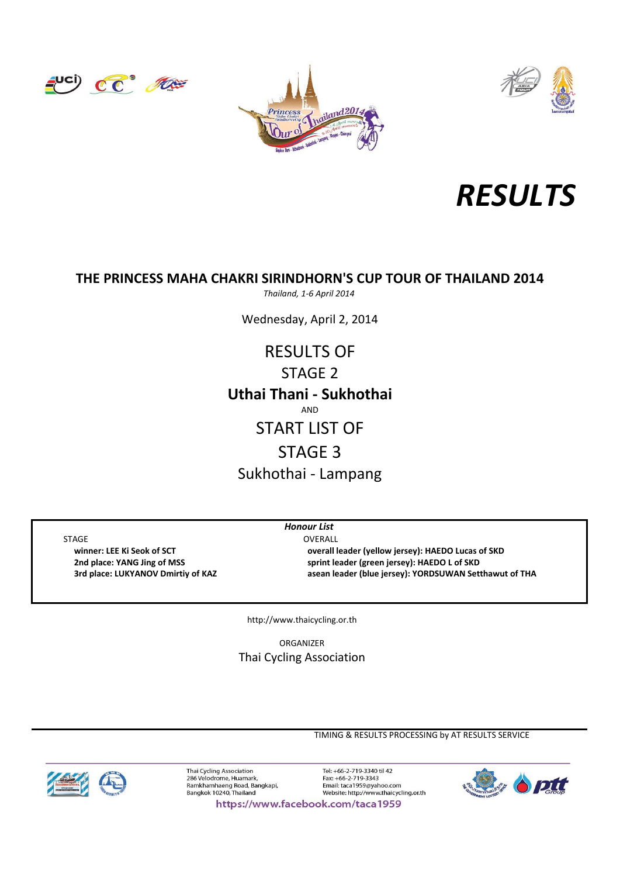







# **THE PRINCESS MAHA CHAKRI SIRINDHORN'S CUP TOUR OF THAILAND 2014**

*Thailand, 1‐6 April 2014*

Wednesday, April 2, 2014

AND START LIST OF STAGE 3 Sukhothai ‐ Lampang **Uthai Thani ‐ Sukhothai** RESULTS OF STAGE 2

*Honour List*

STAGE OVERALL

 **winner: LEE Ki Seok of SCT overall leader (yellow jersey): HAEDO Lucas of SKD 2nd place: YANG Jing of MSS sprint leader (green jersey): HAEDO L of SKD 3rd place: LUKYANOV Dmirtiy of KAZ asean leader (blue jersey): YORDSUWAN Setthawut of THA**

http://www.thaicycling.or.th

ORGANIZER Thai Cycling Association

TIMING & RESULTS PROCESSING by AT RESULTS SERVICE



Thai Cycling Association<br>286 Velodrome, Huamark, Ramkhamhaeng Road, Bangkapi,<br>Bangkok 10240, Thailand

Tel: +66-2-719-3340 til 42 Fax: +66-2-719-3343 Email: taca1959@yahoo.com<br>Website: http://www.thaicycling.or.th



https://www.facebook.com/taca1959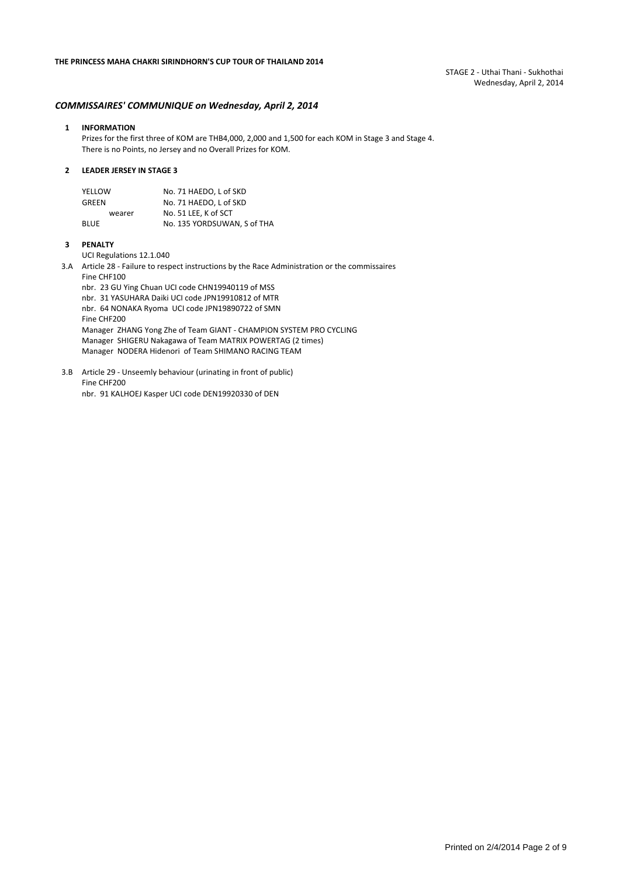STAGE 2 ‐ Uthai Thani ‐ Sukhothai Wednesday, April 2, 2014

### *COMMISSAIRES' COMMUNIQUE on Wednesday, April 2, 2014*

#### **1 INFORMATION**

Prizes for the first three of KOM are THB4,000, 2,000 and 1,500 for each KOM in Stage 3 and Stage 4. There is no Points, no Jersey and no Overall Prizes for KOM.

#### **2 LEADER JERSEY IN STAGE 3**

| YELLOW      | No. 71 HAEDO, L of SKD      |
|-------------|-----------------------------|
| GREEN       | No. 71 HAEDO. L of SKD      |
| wearer      | No. 51 LEE. K of SCT        |
| <b>BLUE</b> | No. 135 YORDSUWAN. S of THA |

### **3 PENALTY**

UCI Regulations 12.1.040

3.A Article 28 ‐ Failure to respect instructions by the Race Administration or the commissaires Fine CHF100 nbr. 23 GU Ying Chuan UCI code CHN19940119 of MSS

nbr. 31 YASUHARA Daiki UCI code JPN19910812 of MTR nbr. 64 NONAKA Ryoma UCI code JPN19890722 of SMN Fine CHF200 Manager ZHANG Yong Zhe of Team GIANT ‐ CHAMPION SYSTEM PRO CYCLING Manager SHIGERU Nakagawa of Team MATRIX POWERTAG (2 times) Manager NODERA Hidenori of Team SHIMANO RACING TEAM

3.B Article 29 ‐ Unseemly behaviour (urinating in front of public) Fine CHF200

nbr. 91 KALHOEJ Kasper UCI code DEN19920330 of DEN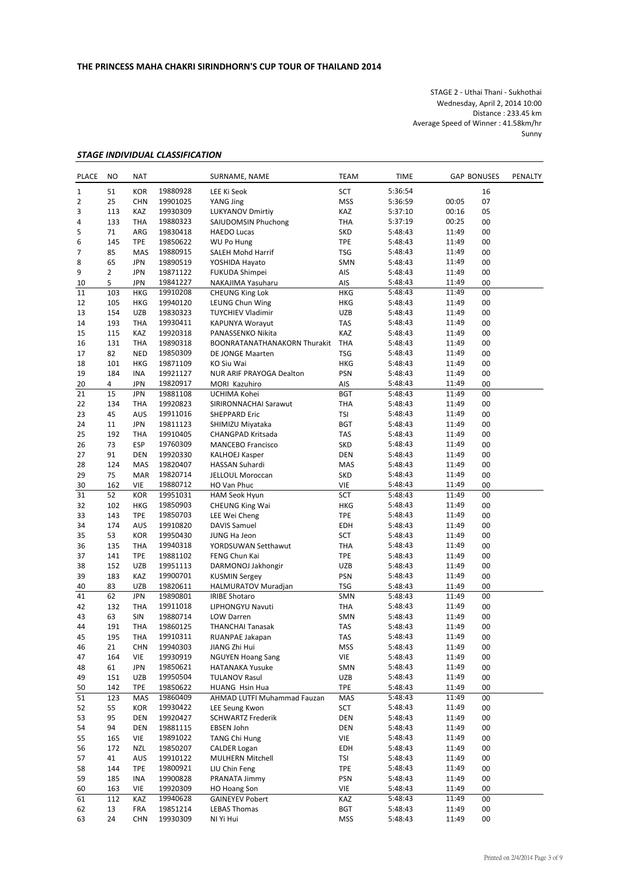STAGE 2 ‐ Uthai Thani ‐ Sukhothai Wednesday, April 2, 2014 10:00 Distance : 233.45 km Average Speed of Winner : 41.58km/hr **Sunny** 

## *STAGE INDIVIDUAL CLASSIFICATION*

| <b>PLACE</b> | <b>NO</b>      | <b>NAT</b>               |                      | SURNAME, NAME                                  | TEAM                     | <b>TIME</b>        |                | <b>GAP BONUSES</b> | PENALTY |
|--------------|----------------|--------------------------|----------------------|------------------------------------------------|--------------------------|--------------------|----------------|--------------------|---------|
| 1            | 51             | <b>KOR</b>               | 19880928             | LEE Ki Seok                                    | SCT                      | 5:36:54            |                | 16                 |         |
| 2            | 25             | <b>CHN</b>               | 19901025             | YANG Jing                                      | <b>MSS</b>               | 5:36:59            | 00:05          | 07                 |         |
| 3            | 113            | KAZ                      | 19930309             | <b>LUKYANOV Dmirtiy</b>                        | KAZ                      | 5:37:10            | 00:16          | 05                 |         |
| 4            | 133            | <b>THA</b>               | 19880323             | SAIUDOMSIN Phuchong                            | THA                      | 5:37:19            | 00:25          | 00                 |         |
| 5            | 71             | ARG                      | 19830418             | <b>HAEDO Lucas</b>                             | <b>SKD</b>               | 5:48:43            | 11:49          | 00                 |         |
| 6            | 145            | <b>TPE</b>               | 19850622             | WU Po Hung                                     | <b>TPE</b>               | 5:48:43            | 11:49          | 00                 |         |
| 7            | 85             | MAS                      | 19880915             | SALEH Mohd Harrif                              | <b>TSG</b>               | 5:48:43            | 11:49          | 00                 |         |
| 8            | 65             | JPN                      | 19890519             | YOSHIDA Hayato                                 | SMN                      | 5:48:43            | 11:49          | 00                 |         |
| 9            | $\overline{2}$ | <b>JPN</b>               | 19871122             | <b>FUKUDA Shimpei</b>                          | AIS                      | 5:48:43            | 11:49          | 00                 |         |
| 10           | 5              | <b>JPN</b>               | 19841227             | NAKAJIMA Yasuharu                              | AIS                      | 5:48:43            | 11:49          | 00                 |         |
| 11           | 103            | <b>HKG</b>               | 19910208             | <b>CHEUNG King Lok</b>                         | <b>HKG</b>               | 5:48:43            | 11:49          | 00                 |         |
| 12           | 105            | <b>HKG</b>               | 19940120             | <b>LEUNG Chun Wing</b>                         | <b>HKG</b>               | 5:48:43            | 11:49          | 00                 |         |
| 13           | 154            | <b>UZB</b>               | 19830323             | <b>TUYCHIEV Vladimir</b>                       | UZB                      | 5:48:43            | 11:49          | 00                 |         |
| 14           | 193            | THA                      | 19930411             | KAPUNYA Worayut                                | TAS                      | 5:48:43            | 11:49          | 00                 |         |
| 15           | 115            | KAZ                      | 19920318             | PANASSENKO Nikita                              | KAZ                      | 5:48:43            | 11:49          | 00                 |         |
| 16           | 131            | <b>THA</b>               | 19890318             | <b>BOONRATANATHANAKORN Thurakit</b>            | <b>THA</b>               | 5:48:43            | 11:49          | 00                 |         |
| 17           | 82             | <b>NED</b>               | 19850309             | DE JONGE Maarten                               | TSG                      | 5:48:43            | 11:49          | 00                 |         |
| 18           | 101            | <b>HKG</b>               | 19871109             | KO Siu Wai                                     | <b>HKG</b>               | 5:48:43            | 11:49          | 00                 |         |
| 19           | 184            | <b>INA</b>               | 19921127             | NUR ARIF PRAYOGA Dealton                       | <b>PSN</b>               | 5:48:43            | 11:49          | 00                 |         |
| 20           | 4              | <b>JPN</b>               | 19820917             | MORI Kazuhiro                                  | AIS                      | 5:48:43            | 11:49          | 00                 |         |
| 21           | 15             | <b>JPN</b>               | 19881108             | UCHIMA Kohei                                   | <b>BGT</b>               | 5:48:43            | 11:49          | 00                 |         |
| 22           | 134            | <b>THA</b>               | 19920823             | SIRIRONNACHAI Sarawut                          | THA                      | 5:48:43            | 11:49          | 00                 |         |
| 23           | 45             | AUS                      | 19911016             | <b>SHEPPARD Eric</b>                           | TSI                      | 5:48:43            | 11:49          | 00                 |         |
| 24           | 11             | <b>JPN</b>               | 19811123             | SHIMIZU Miyataka                               | <b>BGT</b>               | 5:48:43            | 11:49          | 00                 |         |
| 25           | 192            | <b>THA</b>               | 19910405             | CHANGPAD Kritsada                              | TAS                      | 5:48:43            | 11:49          | 00                 |         |
| 26           | 73             | ESP                      | 19760309             | <b>MANCEBO Francisco</b>                       | <b>SKD</b>               | 5:48:43            | 11:49          | 00                 |         |
| 27           | 91             | <b>DEN</b>               | 19920330             | <b>KALHOEJ Kasper</b>                          | <b>DEN</b>               | 5:48:43            | 11:49          | 00                 |         |
| 28           | 124            | <b>MAS</b>               | 19820407             | HASSAN Suhardi                                 | MAS                      | 5:48:43            | 11:49          | 00                 |         |
| 29           | 75<br>162      | <b>MAR</b><br><b>VIE</b> | 19820714             | JELLOUL Moroccan                               | <b>SKD</b><br><b>VIE</b> | 5:48:43            | 11:49          | 00<br>00           |         |
| 30<br>31     | 52             | <b>KOR</b>               | 19880712             | HO Van Phuc                                    | SCT                      | 5:48:43            | 11:49<br>11:49 | 00                 |         |
| 32           | 102            | <b>HKG</b>               | 19951031<br>19850903 | <b>HAM Seok Hyun</b><br><b>CHEUNG King Wai</b> | <b>HKG</b>               | 5:48:43<br>5:48:43 | 11:49          | 00                 |         |
| 33           | 143            | <b>TPE</b>               | 19850703             | LEE Wei Cheng                                  | <b>TPE</b>               | 5:48:43            | 11:49          | 00                 |         |
| 34           | 174            | <b>AUS</b>               | 19910820             | <b>DAVIS Samuel</b>                            | <b>EDH</b>               | 5:48:43            | 11:49          | 00                 |         |
| 35           | 53             | KOR                      | 19950430             | JUNG Ha Jeon                                   | SCT                      | 5:48:43            | 11:49          | 00                 |         |
| 36           | 135            | <b>THA</b>               | 19940318             | YORDSUWAN Setthawut                            | THA                      | 5:48:43            | 11:49          | 00                 |         |
| 37           | 141            | <b>TPE</b>               | 19881102             | FENG Chun Kai                                  | <b>TPE</b>               | 5:48:43            | 11:49          | 00                 |         |
| 38           | 152            | <b>UZB</b>               | 19951113             | DARMONOJ Jakhongir                             | <b>UZB</b>               | 5:48:43            | 11:49          | 00                 |         |
| 39           | 183            | KAZ                      | 19900701             | <b>KUSMIN Sergey</b>                           | <b>PSN</b>               | 5:48:43            | 11:49          | 00                 |         |
| 40           | 83             | <b>UZB</b>               | 19820611             | <b>HALMURATOV Muradjan</b>                     | <b>TSG</b>               | 5:48:43            | 11:49          | 00                 |         |
| 41           | 62             | <b>JPN</b>               | 19890801             | <b>IRIBE Shotaro</b>                           | SMN                      | 5:48:43            | 11:49          | 00                 |         |
| 42           | 132            | THA                      | 19911018             | LIPHONGYU Navuti                               | <b>THA</b>               | 5:48:43            | 11:49          | 00                 |         |
| 43           | 63             | SIN                      | 19880714             | <b>LOW Darren</b>                              | SMN                      | 5:48:43            | 11:49          | 00                 |         |
| 44           | 191            | THA                      | 19860125             | <b>THANCHAI Tanasak</b>                        | TAS                      | 5:48:43            | 11:49          | 00                 |         |
| 45           | 195            | THA                      | 19910311             | RUANPAE Jakapan                                | TAS                      | 5:48:43            | 11:49          | $00\,$             |         |
| 46           | 21             | <b>CHN</b>               | 19940303             | JIANG Zhi Hui                                  | <b>MSS</b>               | 5:48:43            | 11:49          | 00                 |         |
| 47           | 164            | VIE                      | 19930919             | <b>NGUYEN Hoang Sang</b>                       | <b>VIE</b>               | 5:48:43            | 11:49          | 00                 |         |
| 48           | 61             | <b>JPN</b>               | 19850621             | <b>HATANAKA Yusuke</b>                         | SMN                      | 5:48:43            | 11:49          | 00                 |         |
| 49           | 151            | UZB                      | 19950504             | <b>TULANOV Rasul</b>                           | <b>UZB</b>               | 5:48:43            | 11:49          | 00                 |         |
| 50           | 142            | <b>TPE</b>               | 19850622             | HUANG Hsin Hua                                 | TPE                      | 5:48:43            | 11:49          | 00                 |         |
| 51           | 123            | MAS                      | 19860409             | AHMAD LUTFI Muhammad Fauzan                    | MAS                      | 5:48:43            | 11:49          | 00                 |         |
| 52           | 55             | <b>KOR</b>               | 19930422             | LEE Seung Kwon                                 | SCT                      | 5:48:43            | 11:49          | 00                 |         |
| 53           | 95             | <b>DEN</b>               | 19920427             | <b>SCHWARTZ Frederik</b>                       | DEN                      | 5:48:43            | 11:49          | 00                 |         |
| 54           | 94             | <b>DEN</b>               | 19881115             | EBSEN John                                     | DEN                      | 5:48:43            | 11:49          | 00                 |         |
| 55           | 165            | VIE                      | 19891022             | <b>TANG Chi Hung</b>                           | VIE                      | 5:48:43            | 11:49          | 00                 |         |
| 56           | 172            | <b>NZL</b>               | 19850207             | <b>CALDER Logan</b>                            | EDH                      | 5:48:43            | 11:49          | 00                 |         |
| 57           | 41             | <b>AUS</b>               | 19910122             | MULHERN Mitchell                               | TSI                      | 5:48:43            | 11:49          | 00                 |         |
| 58           | 144            | <b>TPE</b>               | 19800921             | LIU Chin Feng                                  | TPE                      | 5:48:43            | 11:49          | 00                 |         |
| 59           | 185            | INA                      | 19900828             | PRANATA Jimmy                                  | PSN                      | 5:48:43            | 11:49          | 00                 |         |
| 60           | 163            | <b>VIE</b>               | 19920309             | <b>HO Hoang Son</b>                            | VIE                      | 5:48:43            | 11:49          | 00                 |         |
| 61           | 112            | KAZ                      | 19940628             | <b>GAINEYEV Pobert</b>                         | KAZ                      | 5:48:43            | 11:49          | 00                 |         |
| 62           | 13             | <b>FRA</b>               | 19851214             | <b>LEBAS Thomas</b>                            | <b>BGT</b>               | 5:48:43            | 11:49          | 00                 |         |
| 63           | 24             | <b>CHN</b>               | 19930309             | NI Yi Hui                                      | <b>MSS</b>               | 5:48:43            | 11:49          | 00                 |         |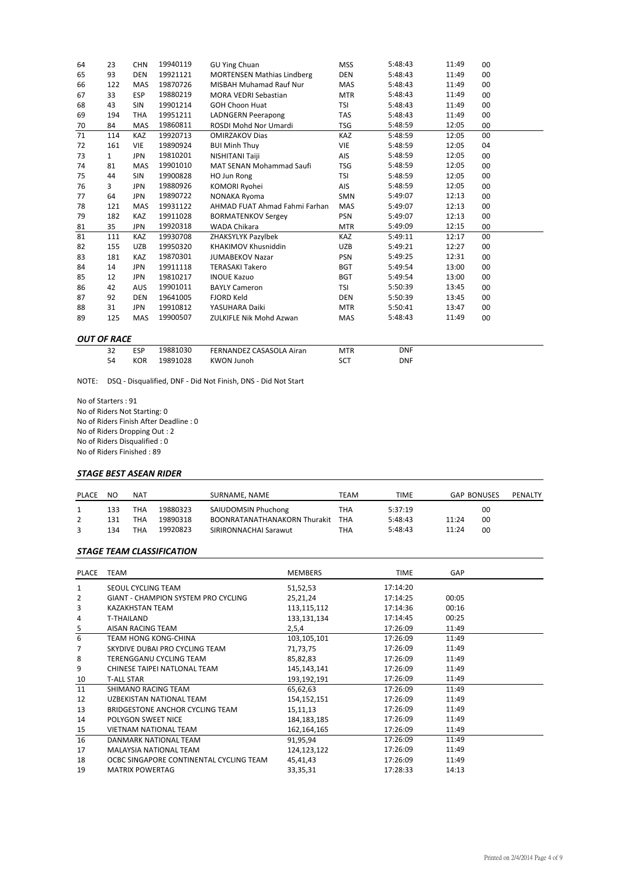| 64 | 23           | <b>CHN</b> | 19940119 | GU Ying Chuan                     | <b>MSS</b> | 5:48:43 | 11:49 | 00     |
|----|--------------|------------|----------|-----------------------------------|------------|---------|-------|--------|
| 65 | 93           | <b>DEN</b> | 19921121 | <b>MORTENSEN Mathias Lindberg</b> | <b>DEN</b> | 5:48:43 | 11:49 | 00     |
| 66 | 122          | <b>MAS</b> | 19870726 | <b>MISBAH Muhamad Rauf Nur</b>    | <b>MAS</b> | 5:48:43 | 11:49 | 00     |
| 67 | 33           | <b>ESP</b> | 19880219 | <b>MORA VEDRI Sebastian</b>       | MTR        | 5:48:43 | 11:49 | 00     |
| 68 | 43           | <b>SIN</b> | 19901214 | <b>GOH Choon Huat</b>             | TSI        | 5:48:43 | 11:49 | 00     |
| 69 | 194          | <b>THA</b> | 19951211 | <b>LADNGERN Peerapong</b>         | <b>TAS</b> | 5:48:43 | 11:49 | 00     |
| 70 | 84           | MAS        | 19860811 | ROSDI Mohd Nor Umardi             | <b>TSG</b> | 5:48:59 | 12:05 | 00     |
| 71 | 114          | KAZ        | 19920713 | <b>OMIRZAKOV Dias</b>             | KAZ        | 5:48:59 | 12:05 | 00     |
| 72 | 161          | <b>VIE</b> | 19890924 | <b>BUI Minh Thuy</b>              | <b>VIE</b> | 5:48:59 | 12:05 | 04     |
| 73 | $\mathbf{1}$ | <b>JPN</b> | 19810201 | NISHITANI Taiji                   | AIS        | 5:48:59 | 12:05 | $00\,$ |
| 74 | 81           | <b>MAS</b> | 19901010 | <b>MAT SENAN Mohammad Saufi</b>   | <b>TSG</b> | 5:48:59 | 12:05 | 00     |
| 75 | 44           | <b>SIN</b> | 19900828 | HO Jun Rong                       | <b>TSI</b> | 5:48:59 | 12:05 | 00     |
| 76 | 3            | <b>JPN</b> | 19880926 | KOMORI Ryohei                     | AIS        | 5:48:59 | 12:05 | 00     |
| 77 | 64           | <b>JPN</b> | 19890722 | <b>NONAKA Ryoma</b>               | <b>SMN</b> | 5:49:07 | 12:13 | 00     |
| 78 | 121          | MAS        | 19931122 | AHMAD FUAT Ahmad Fahmi Farhan     | <b>MAS</b> | 5:49:07 | 12:13 | $00\,$ |
| 79 | 182          | <b>KAZ</b> | 19911028 | <b>BORMATENKOV Sergey</b>         | <b>PSN</b> | 5:49:07 | 12:13 | 00     |
| 81 | 35           | <b>JPN</b> | 19920318 | <b>WADA Chikara</b>               | <b>MTR</b> | 5:49:09 | 12:15 | 00     |
| 81 | 111          | KAZ        | 19930708 | ZHAKSYLYK Pazylbek                | KAZ        | 5:49:11 | 12:17 | 00     |
| 82 | 155          | <b>UZB</b> | 19950320 | <b>KHAKIMOV Khusniddin</b>        | <b>UZB</b> | 5:49:21 | 12:27 | $00\,$ |
| 83 | 181          | <b>KAZ</b> | 19870301 | <b>JUMABEKOV Nazar</b>            | <b>PSN</b> | 5:49:25 | 12:31 | 00     |
| 84 | 14           | <b>JPN</b> | 19911118 | <b>TERASAKI Takero</b>            | <b>BGT</b> | 5:49:54 | 13:00 | 00     |
| 85 | 12           | <b>JPN</b> | 19810217 | <b>INOUE Kazuo</b>                | <b>BGT</b> | 5:49:54 | 13:00 | 00     |
| 86 | 42           | <b>AUS</b> | 19901011 | <b>BAYLY Cameron</b>              | TSI        | 5:50:39 | 13:45 | 00     |
| 87 | 92           | <b>DEN</b> | 19641005 | <b>FJORD Keld</b>                 | <b>DEN</b> | 5:50:39 | 13:45 | 00     |
| 88 | 31           | <b>JPN</b> | 19910812 | YASUHARA Daiki                    | <b>MTR</b> | 5:50:41 | 13:47 | 00     |
| 89 | 125          | MAS        | 19900507 | <b>ZULKIFLE Nik Mohd Azwan</b>    | MAS        | 5:48:43 | 11:49 | 00     |
|    |              |            |          |                                   |            |         |       |        |

## *OUT OF RACE*

| ESP        | 19881030 | FERNANDEZ CASASOLA Airan | <b>MTR</b> | DNF |  |
|------------|----------|--------------------------|------------|-----|--|
| <b>KOR</b> | 19891028 | KWON Junoh               | SCT        | DNF |  |

NOTE: DSQ ‐ Disqualified, DNF ‐ Did Not Finish, DNS ‐ Did Not Start

No of Starters : 91 No of Riders Not Starting: 0 No of Riders Finish After Deadline : 0 No of Riders Dropping Out : 2 No of Riders Disqualified : 0 No of Riders Finished : 89

### *STAGE BEST ASEAN RIDER*

| <b>PLACE</b> | NO  | <b>NAT</b> |          | SURNAME, NAME                       | TEAM | TIME    | <b>GAP BONUSES</b> | PENALTY |
|--------------|-----|------------|----------|-------------------------------------|------|---------|--------------------|---------|
|              | 133 | THA        | 19880323 | SAIUDOMSIN Phuchong                 | THA  | 5:37:19 | 00                 |         |
|              | 131 | THA        | 19890318 | <b>BOONRATANATHANAKORN Thurakit</b> | THA  | 5:48:43 | 00<br>11:24        |         |
|              | 134 | тна        | 19920823 | SIRIRONNACHAI Sarawut               | THA  | 5:48:43 | 00<br>11:24        |         |

### *STAGE TEAM CLASSIFICATION*

| PLACE | <b>TEAM</b>                             | <b>MEMBERS</b> | <b>TIME</b> | GAP   |  |
|-------|-----------------------------------------|----------------|-------------|-------|--|
| 1     | SEOUL CYCLING TEAM                      | 51,52,53       | 17:14:20    |       |  |
| 2     | GIANT - CHAMPION SYSTEM PRO CYCLING     | 25,21,24       | 17:14:25    | 00:05 |  |
| 3     | KAZAKHSTAN TEAM                         | 113,115,112    | 17:14:36    | 00:16 |  |
| 4     | T-THAILAND                              | 133,131,134    | 17:14:45    | 00:25 |  |
| 5     | AISAN RACING TEAM                       | 2,5,4          | 17:26:09    | 11:49 |  |
| 6     | TEAM HONG KONG-CHINA                    | 103,105,101    | 17:26:09    | 11:49 |  |
| 7     | SKYDIVE DUBAI PRO CYCLING TEAM          | 71,73,75       | 17:26:09    | 11:49 |  |
| 8     | <b>TERENGGANU CYCLING TEAM</b>          | 85,82,83       | 17:26:09    | 11:49 |  |
| 9     | CHINESE TAIPEI NATLONAL TEAM            | 145, 143, 141  | 17:26:09    | 11:49 |  |
| 10    | <b>T-ALL STAR</b>                       | 193,192,191    | 17:26:09    | 11:49 |  |
| 11    | SHIMANO RACING TEAM                     | 65,62,63       | 17:26:09    | 11:49 |  |
| 12    | UZBEKISTAN NATIONAL TEAM                | 154, 152, 151  | 17:26:09    | 11:49 |  |
| 13    | BRIDGESTONE ANCHOR CYCLING TEAM         | 15,11,13       | 17:26:09    | 11:49 |  |
| 14    | POLYGON SWEET NICE                      | 184, 183, 185  | 17:26:09    | 11:49 |  |
| 15    | <b>VIETNAM NATIONAL TEAM</b>            | 162,164,165    | 17:26:09    | 11:49 |  |
| 16    | DANMARK NATIONAL TEAM                   | 91,95,94       | 17:26:09    | 11:49 |  |
| 17    | MALAYSIA NATIONAL TEAM                  | 124,123,122    | 17:26:09    | 11:49 |  |
| 18    | OCBC SINGAPORE CONTINENTAL CYCLING TEAM | 45,41,43       | 17:26:09    | 11:49 |  |
| 19    | <b>MATRIX POWERTAG</b>                  | 33,35,31       | 17:28:33    | 14:13 |  |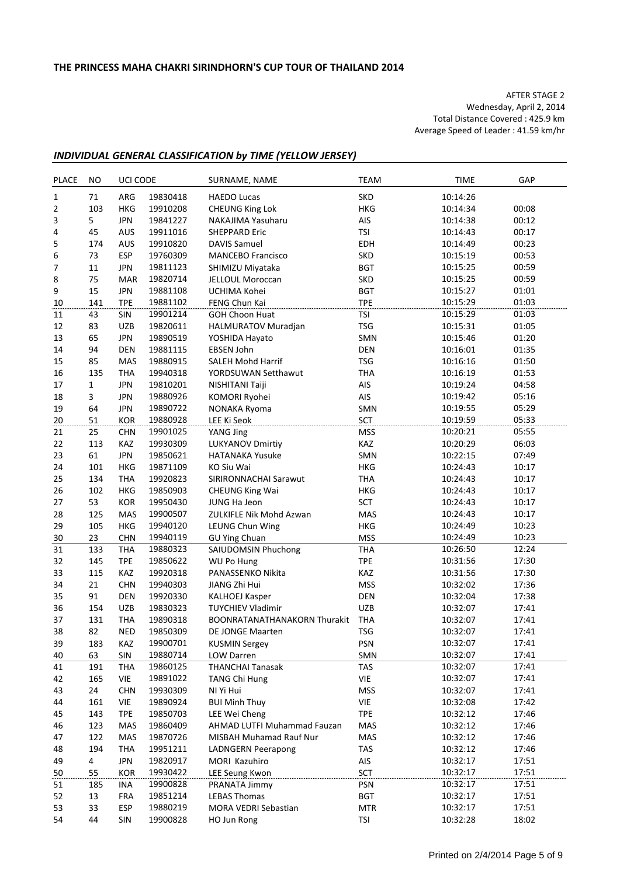AFTER STAGE 2 Wednesday, April 2, 2014 Total Distance Covered : 425.9 km Average Speed of Leader : 41.59 km/hr

## *INDIVIDUAL GENERAL CLASSIFICATION by TIME (YELLOW JERSEY)*

| <b>PLACE</b> | <b>NO</b> | UCI CODE          |                      | SURNAME, NAME                               | <b>TEAM</b>              | <b>TIME</b>          | GAP            |
|--------------|-----------|-------------------|----------------------|---------------------------------------------|--------------------------|----------------------|----------------|
| $1\,$        | 71        | ARG               | 19830418             | <b>HAEDO Lucas</b>                          | <b>SKD</b>               | 10:14:26             |                |
| 2            | 103       | <b>HKG</b>        | 19910208             | <b>CHEUNG King Lok</b>                      | HKG                      | 10:14:34             | 00:08          |
| 3            | 5         | <b>JPN</b>        | 19841227             | NAKAJIMA Yasuharu                           | AIS                      | 10:14:38             | 00:12          |
| 4            | 45        | AUS               | 19911016             | <b>SHEPPARD Eric</b>                        | <b>TSI</b>               | 10:14:43             | 00:17          |
| 5            | 174       | <b>AUS</b>        | 19910820             | <b>DAVIS Samuel</b>                         | <b>EDH</b>               | 10:14:49             | 00:23          |
| 6            | 73        | <b>ESP</b>        | 19760309             | <b>MANCEBO Francisco</b>                    | SKD                      | 10:15:19             | 00:53          |
| 7            | 11        | <b>JPN</b>        | 19811123             | SHIMIZU Miyataka                            | <b>BGT</b>               | 10:15:25             | 00:59          |
| 8            | 75        | <b>MAR</b>        | 19820714             | JELLOUL Moroccan                            | SKD                      | 10:15:25             | 00:59          |
| 9            | 15        | <b>JPN</b>        | 19881108             | UCHIMA Kohei                                | <b>BGT</b>               | 10:15:27             | 01:01          |
| 10           | 141       | <b>TPE</b>        | 19881102             | FENG Chun Kai                               | <b>TPE</b>               | 10:15:29             | 01:03          |
| 11           | 43        | SIN               | 19901214             | <b>GOH Choon Huat</b>                       | <b>TSI</b>               | 10:15:29             | 01:03          |
| 12           | 83        | <b>UZB</b>        | 19820611             | HALMURATOV Muradjan                         | <b>TSG</b>               | 10:15:31             | 01:05          |
| 13           | 65        | <b>JPN</b>        | 19890519             | YOSHIDA Hayato                              | SMN                      | 10:15:46             | 01:20          |
| 14           | 94        | <b>DEN</b>        | 19881115             | <b>EBSEN John</b>                           | <b>DEN</b>               | 10:16:01             | 01:35          |
| 15           | 85        | <b>MAS</b>        | 19880915             | <b>SALEH Mohd Harrif</b>                    | <b>TSG</b>               | 10:16:16             | 01:50          |
| 16           | 135       | <b>THA</b>        | 19940318             | YORDSUWAN Setthawut                         | <b>THA</b>               | 10:16:19             | 01:53          |
| 17           | 1         | <b>JPN</b>        | 19810201             | NISHITANI Taiji                             | AIS                      | 10:19:24             | 04:58          |
| 18           | 3         | <b>JPN</b>        | 19880926             | KOMORI Ryohei                               | AIS                      | 10:19:42             | 05:16          |
| 19           | 64        | <b>JPN</b>        | 19890722             | NONAKA Ryoma                                | SMN                      | 10:19:55             | 05:29          |
| 20           | 51        | <b>KOR</b>        | 19880928             | LEE Ki Seok                                 | <b>SCT</b>               | 10:19:59             | 05:33          |
| 21           | 25        | <b>CHN</b>        | 19901025             | YANG Jing                                   | <b>MSS</b>               | 10:20:21             | 05:55          |
| 22           | 113       | KAZ               | 19930309             | LUKYANOV Dmirtiy                            | KAZ                      | 10:20:29             | 06:03          |
| 23           | 61        | <b>JPN</b>        | 19850621             | <b>HATANAKA Yusuke</b>                      | SMN                      | 10:22:15             | 07:49          |
| 24           | 101       | <b>HKG</b>        | 19871109             | KO Siu Wai                                  | HKG                      | 10:24:43             | 10:17          |
| 25           | 134       | <b>THA</b>        | 19920823             | SIRIRONNACHAI Sarawut                       | <b>THA</b>               | 10:24:43             | 10:17          |
| 26           | 102       | <b>HKG</b>        | 19850903             | <b>CHEUNG King Wai</b>                      | HKG                      | 10:24:43             | 10:17          |
| 27           | 53        | KOR               | 19950430             | JUNG Ha Jeon                                | SCT                      | 10:24:43             | 10:17          |
| 28           | 125       | MAS               | 19900507             | ZULKIFLE Nik Mohd Azwan                     | MAS                      | 10:24:43             | 10:17          |
| 29           | 105       | <b>HKG</b>        | 19940120             | LEUNG Chun Wing                             | HKG                      | 10:24:49             | 10:23          |
| 30           | 23        | <b>CHN</b>        | 19940119             | <b>GU Ying Chuan</b>                        | <b>MSS</b>               | 10:24:49             | 10:23          |
| 31           | 133       | <b>THA</b>        | 19880323             | SAIUDOMSIN Phuchong                         | <b>THA</b>               | 10:26:50             | 12:24          |
| 32           | 145       | <b>TPE</b>        | 19850622             | WU Po Hung                                  | <b>TPE</b>               | 10:31:56             | 17:30          |
| 33           | 115       | KAZ               | 19920318             | PANASSENKO Nikita                           | KAZ                      | 10:31:56             | 17:30          |
| 34           | 21        | <b>CHN</b>        | 19940303             | JIANG Zhi Hui                               | <b>MSS</b>               | 10:32:02             | 17:36          |
| 35           | 91        | DEN               | 19920330             | <b>KALHOEJ Kasper</b>                       | DEN                      | 10:32:04             | 17:38          |
| 36           | 154       | <b>UZB</b>        | 19830323             | <b>TUYCHIEV Vladimir</b>                    | <b>UZB</b>               | 10:32:07             | 17:41          |
| 37           | 131       | <b>THA</b>        | 19890318             | <b>BOONRATANATHANAKORN Thurakit</b>         | <b>THA</b>               | 10:32:07             | 17:41          |
| 38           | 82        | <b>NED</b>        | 19850309             | DE JONGE Maarten                            | TSG                      | 10:32:07             | 17:41          |
| 39           | 183       | KAZ               | 19900701             | <b>KUSMIN Sergey</b>                        | PSN                      | 10:32:07             | 17:41          |
| 40           | 63        | SIN               | 19880714             | LOW Darren                                  | SMN                      | 10:32:07             | 17:41          |
| 41           | 191       | <b>THA</b>        | 19860125             | <b>THANCHAI Tanasak</b>                     | TAS                      | 10:32:07             | 17:41          |
| 42           | 165       | VIE               | 19891022             | <b>TANG Chi Hung</b>                        | VIE                      | 10:32:07             | 17:41          |
| 43           | 24        | <b>CHN</b>        | 19930309             | NI Yi Hui                                   | <b>MSS</b>               | 10:32:07             | 17:41          |
| 44           |           | VIE               | 19890924             | <b>BUI Minh Thuy</b>                        | VIE                      | 10:32:08             | 17:42          |
|              | 161       |                   |                      | LEE Wei Cheng                               | <b>TPE</b>               |                      | 17:46          |
| 45<br>46     | 143       | <b>TPE</b><br>MAS | 19850703<br>19860409 | AHMAD LUTFI Muhammad Fauzan                 | MAS                      | 10:32:12<br>10:32:12 | 17:46          |
|              | 123       |                   |                      |                                             |                          |                      | 17:46          |
| 47           | 122       | MAS               | 19870726<br>19951211 | MISBAH Muhamad Rauf Nur                     | MAS                      | 10:32:12             |                |
| 48           | 194       | <b>THA</b>        |                      | <b>LADNGERN Peerapong</b>                   | <b>TAS</b>               | 10:32:12             | 17:46          |
| 49           | 4         | JPN               | 19820917             | MORI Kazuhiro                               | AIS                      | 10:32:17             | 17:51          |
| 50           | 55        | <b>KOR</b>        | 19930422             | LEE Seung Kwon                              | <b>SCT</b>               | 10:32:17             | 17:51          |
| 51           | 185       | INA               | 19900828             | PRANATA Jimmy                               | PSN                      | 10:32:17             | 17:51          |
| 52<br>53     | 13<br>33  | <b>FRA</b>        | 19851214             | <b>LEBAS Thomas</b><br>MORA VEDRI Sebastian | <b>BGT</b>               | 10:32:17             | 17:51          |
| 54           | 44        | <b>ESP</b><br>SIN | 19880219<br>19900828 | HO Jun Rong                                 | <b>MTR</b><br><b>TSI</b> | 10:32:17<br>10:32:28 | 17:51<br>18:02 |
|              |           |                   |                      |                                             |                          |                      |                |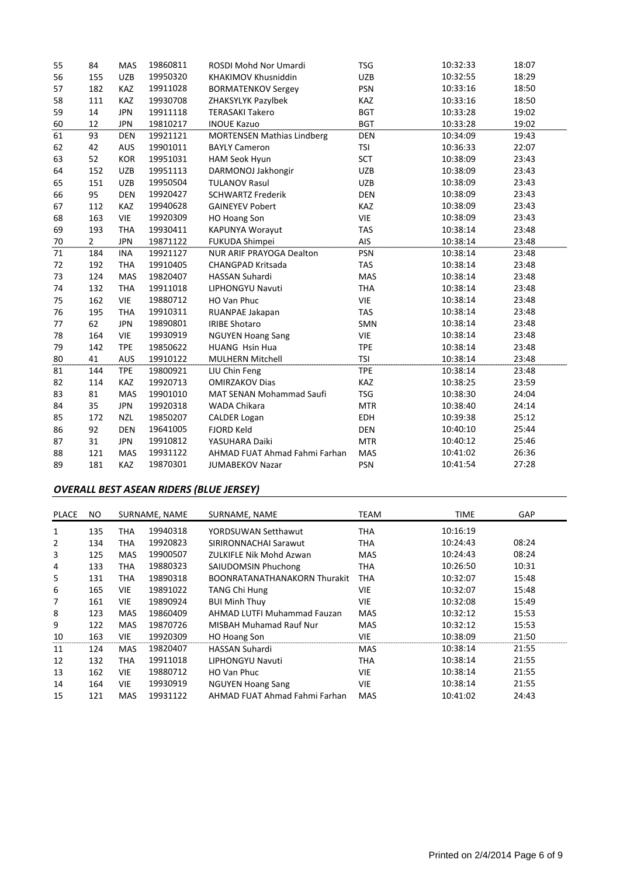| 55 | 84             | MAS        | 19860811 | ROSDI Mohd Nor Umardi             | <b>TSG</b> | 10:32:33 | 18:07 |
|----|----------------|------------|----------|-----------------------------------|------------|----------|-------|
| 56 | 155            | UZB        | 19950320 | KHAKIMOV Khusniddin               | <b>UZB</b> | 10:32:55 | 18:29 |
| 57 | 182            | KAZ        | 19911028 | <b>BORMATENKOV Sergev</b>         | <b>PSN</b> | 10:33:16 | 18:50 |
| 58 | 111            | <b>KAZ</b> | 19930708 | ZHAKSYLYK Pazylbek                | <b>KAZ</b> | 10:33:16 | 18:50 |
| 59 | 14             | <b>JPN</b> | 19911118 | <b>TERASAKI Takero</b>            | <b>BGT</b> | 10:33:28 | 19:02 |
| 60 | 12             | <b>JPN</b> | 19810217 | <b>INOUE Kazuo</b>                | <b>BGT</b> | 10:33:28 | 19:02 |
| 61 | 93             | <b>DEN</b> | 19921121 | <b>MORTENSEN Mathias Lindberg</b> | DEN        | 10:34:09 | 19:43 |
| 62 | 42             | AUS        | 19901011 | <b>BAYLY Cameron</b>              | <b>TSI</b> | 10:36:33 | 22:07 |
| 63 | 52             | <b>KOR</b> | 19951031 | HAM Seok Hyun                     | <b>SCT</b> | 10:38:09 | 23:43 |
| 64 | 152            | <b>UZB</b> | 19951113 | DARMONOJ Jakhongir                | <b>UZB</b> | 10:38:09 | 23:43 |
| 65 | 151            | <b>UZB</b> | 19950504 | <b>TULANOV Rasul</b>              | <b>UZB</b> | 10:38:09 | 23:43 |
| 66 | 95             | <b>DEN</b> | 19920427 | <b>SCHWARTZ Frederik</b>          | <b>DEN</b> | 10:38:09 | 23:43 |
| 67 | 112            | <b>KAZ</b> | 19940628 | <b>GAINEYEV Pobert</b>            | <b>KAZ</b> | 10:38:09 | 23:43 |
| 68 | 163            | <b>VIE</b> | 19920309 | HO Hoang Son                      | <b>VIE</b> | 10:38:09 | 23:43 |
| 69 | 193            | <b>THA</b> | 19930411 | KAPUNYA Worayut                   | <b>TAS</b> | 10:38:14 | 23:48 |
| 70 | $\overline{2}$ | <b>JPN</b> | 19871122 | FUKUDA Shimpei                    | AIS        | 10:38:14 | 23:48 |
| 71 | 184            | <b>INA</b> | 19921127 | <b>NUR ARIF PRAYOGA Dealton</b>   | <b>PSN</b> | 10:38:14 | 23:48 |
| 72 | 192            | <b>THA</b> | 19910405 | CHANGPAD Kritsada                 | <b>TAS</b> | 10:38:14 | 23:48 |
| 73 | 124            | MAS        | 19820407 | <b>HASSAN Suhardi</b>             | MAS        | 10:38:14 | 23:48 |
| 74 | 132            | <b>THA</b> | 19911018 | <b>LIPHONGYU Navuti</b>           | <b>THA</b> | 10:38:14 | 23:48 |
| 75 | 162            | VIE        | 19880712 | HO Van Phuc                       | <b>VIE</b> | 10:38:14 | 23:48 |
| 76 | 195            | <b>THA</b> | 19910311 | RUANPAE Jakapan                   | TAS        | 10:38:14 | 23:48 |
| 77 | 62             | <b>JPN</b> | 19890801 | <b>IRIBE Shotaro</b>              | SMN        | 10:38:14 | 23:48 |
| 78 | 164            | <b>VIE</b> | 19930919 | <b>NGUYEN Hoang Sang</b>          | <b>VIE</b> | 10:38:14 | 23:48 |
| 79 | 142            | <b>TPE</b> | 19850622 | <b>HUANG Hsin Hua</b>             | <b>TPE</b> | 10:38:14 | 23:48 |
| 80 | 41             | <b>AUS</b> | 19910122 | <b>MULHERN Mitchell</b>           | <b>TSI</b> | 10:38:14 | 23:48 |
| 81 | 144            | <b>TPE</b> | 19800921 | LIU Chin Feng                     | <b>TPE</b> | 10:38:14 | 23:48 |
| 82 | 114            | <b>KAZ</b> | 19920713 | <b>OMIRZAKOV Dias</b>             | KAZ        | 10:38:25 | 23:59 |
| 83 | 81             | MAS        | 19901010 | MAT SENAN Mohammad Saufi          | <b>TSG</b> | 10:38:30 | 24:04 |
| 84 | 35             | <b>JPN</b> | 19920318 | WADA Chikara                      | <b>MTR</b> | 10:38:40 | 24:14 |
| 85 | 172            | <b>NZL</b> | 19850207 | <b>CALDER Logan</b>               | <b>EDH</b> | 10:39:38 | 25:12 |
| 86 | 92             | <b>DEN</b> | 19641005 | <b>FJORD Keld</b>                 | <b>DEN</b> | 10:40:10 | 25:44 |
| 87 | 31             | <b>JPN</b> | 19910812 | YASUHARA Daiki                    | <b>MTR</b> | 10:40:12 | 25:46 |
| 88 | 121            | MAS        | 19931122 | AHMAD FUAT Ahmad Fahmi Farhan     | <b>MAS</b> | 10:41:02 | 26:36 |
| 89 | 181            | <b>KAZ</b> | 19870301 | <b>JUMABEKOV Nazar</b>            | <b>PSN</b> | 10:41:54 | 27:28 |

## *OVERALL BEST ASEAN RIDERS (BLUE JERSEY)*

| <b>PLACE</b> | NO. |            | SURNAME, NAME | SURNAME, NAME                       | TEAM       | TIME     | <b>GAP</b> |
|--------------|-----|------------|---------------|-------------------------------------|------------|----------|------------|
| 1            | 135 | THA        | 19940318      | YORDSUWAN Setthawut                 | THA        | 10:16:19 |            |
| 2            | 134 | THA        | 19920823      | SIRIRONNACHAI Sarawut               | THA        | 10:24:43 | 08:24      |
| 3            | 125 | <b>MAS</b> | 19900507      | ZULKIFLE Nik Mohd Azwan             | MAS        | 10:24:43 | 08:24      |
| 4            | 133 | THA        | 19880323      | <b>SAIUDOMSIN Phuchong</b>          | THA        | 10:26:50 | 10:31      |
| 5            | 131 | THA        | 19890318      | <b>BOONRATANATHANAKORN Thurakit</b> | THA        | 10:32:07 | 15:48      |
| 6            | 165 | <b>VIE</b> | 19891022      | <b>TANG Chi Hung</b>                | VIE        | 10:32:07 | 15:48      |
| 7            | 161 | VIE        | 19890924      | <b>BUI Minh Thuy</b>                | VIE        | 10:32:08 | 15:49      |
| 8            | 123 | <b>MAS</b> | 19860409      | AHMAD LUTFI Muhammad Fauzan         | MAS        | 10:32:12 | 15:53      |
| 9            | 122 | <b>MAS</b> | 19870726      | <b>MISBAH Muhamad Rauf Nur</b>      | MAS        | 10:32:12 | 15:53      |
| 10           | 163 | <b>VIE</b> | 19920309      | HO Hoang Son                        | VIE        | 10:38:09 | 21:50      |
| 11           | 124 | <b>MAS</b> | 19820407      | <b>HASSAN Suhardi</b>               | <b>MAS</b> | 10:38:14 | 21:55      |
| 12           | 132 | THA        | 19911018      | LIPHONGYU Navuti                    | THA        | 10:38:14 | 21:55      |
| 13           | 162 | <b>VIE</b> | 19880712      | HO Van Phuc                         | VIE        | 10:38:14 | 21:55      |
| 14           | 164 | <b>VIE</b> | 19930919      | <b>NGUYEN Hoang Sang</b>            | VIE        | 10:38:14 | 21:55      |
| 15           | 121 | MAS        | 19931122      | AHMAD FUAT Ahmad Fahmi Farhan       | MAS        | 10:41:02 | 24:43      |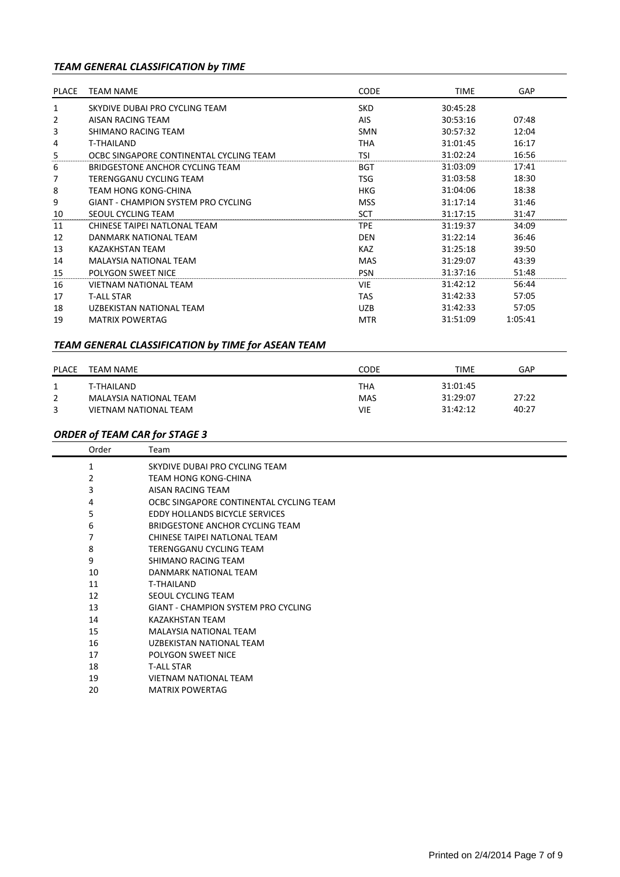# *TEAM GENERAL CLASSIFICATION by TIME*

| PLACE | <b>TEAM NAME</b>                        | <b>CODE</b> | <b>TIME</b> | GAP     |  |
|-------|-----------------------------------------|-------------|-------------|---------|--|
|       |                                         |             |             |         |  |
| 1     | SKYDIVE DUBAI PRO CYCLING TEAM          | <b>SKD</b>  | 30:45:28    |         |  |
| 2     | AISAN RACING TFAM                       | AIS         | 30:53:16    | 07:48   |  |
| 3     | SHIMANO RACING TEAM                     | <b>SMN</b>  | 30:57:32    | 12:04   |  |
| 4     | <b>T-THAILAND</b>                       | THA         | 31:01:45    | 16:17   |  |
| 5     | OCBC SINGAPORE CONTINENTAL CYCLING TEAM | <b>TSI</b>  | 31:02:24    | 16:56   |  |
| 6     | BRIDGESTONE ANCHOR CYCLING TEAM         | <b>BGT</b>  | 31:03:09    | 17:41   |  |
| 7     | TERENGGANU CYCLING TEAM                 | TSG         | 31:03:58    | 18:30   |  |
| 8     | TFAM HONG KONG-CHINA                    | <b>HKG</b>  | 31:04:06    | 18:38   |  |
| 9     | GIANT - CHAMPION SYSTEM PRO CYCLING     | <b>MSS</b>  | 31:17:14    | 31:46   |  |
| 10    | SEOUL CYCLING TEAM                      | <b>SCT</b>  | 31:17:15    | 31:47   |  |
| 11    | CHINESE TAIPEI NATLONAL TEAM            | <b>TPE</b>  | 31:19:37    | 34:09   |  |
| 12    | DANMARK NATIONAL TFAM                   | <b>DEN</b>  | 31:22:14    | 36:46   |  |
| 13    | <b>KAZAKHSTAN TEAM</b>                  | <b>KAZ</b>  | 31:25:18    | 39:50   |  |
| 14    | <b>MALAYSIA NATIONAL TEAM</b>           | <b>MAS</b>  | 31:29:07    | 43:39   |  |
| 15    | <b>POLYGON SWEET NICE</b>               | <b>PSN</b>  | 31:37:16    | 51:48   |  |
| 16    | VIFTNAM NATIONAI TFAM                   | <b>VIE</b>  | 31:42:12    | 56:44   |  |
| 17    | <b>T-ALL STAR</b>                       | TAS         | 31:42:33    | 57:05   |  |
| 18    | UZBEKISTAN NATIONAL TEAM                | <b>UZB</b>  | 31:42:33    | 57:05   |  |
| 19    | <b>MATRIX POWERTAG</b>                  | <b>MTR</b>  | 31:51:09    | 1:05:41 |  |

# *TEAM GENERAL CLASSIFICATION by TIME for ASEAN TEAM*

| <b>PLACE</b> | TEAM NAME                                       | CODE              | <b>TIME</b>          | GAP   |
|--------------|-------------------------------------------------|-------------------|----------------------|-------|
| 2            | T-THAILAND                                      | ТНА               | 31:01:45<br>31:29:07 | 27:22 |
| 3            | MALAYSIA NATIONAL TEAM<br>VIETNAM NATIONAL TEAM | <b>MAS</b><br>VIE | 31:42:12             | 40:27 |

# *ORDER of TEAM CAR for STAGE 3*

| Order | Team                                       |
|-------|--------------------------------------------|
| 1     | SKYDIVE DUBAI PRO CYCLING TEAM             |
| 2     | <b>TEAM HONG KONG-CHINA</b>                |
| 3     | AISAN RACING TEAM                          |
| 4     | OCBC SINGAPORE CONTINENTAL CYCLING TEAM    |
| 5     | EDDY HOLLANDS BICYCLE SERVICES             |
| 6     | BRIDGESTONE ANCHOR CYCLING TEAM            |
| 7     | CHINESE TAIPEI NATLONAL TEAM               |
| 8     | TERENGGANU CYCLING TEAM                    |
| 9     | SHIMANO RACING TEAM                        |
| 10    | DANMARK NATIONAL TEAM                      |
| 11    | <b>T-THAILAND</b>                          |
| 12    | SEOUL CYCLING TEAM                         |
| 13    | <b>GIANT - CHAMPION SYSTEM PRO CYCLING</b> |
| 14    | KAZAKHSTAN TEAM                            |
| 15    | <b>MALAYSIA NATIONAL TEAM</b>              |
| 16    | UZBEKISTAN NATIONAL TEAM                   |
| 17    | POLYGON SWEET NICE                         |
| 18    | <b>T-ALL STAR</b>                          |
| 19    | <b>VIETNAM NATIONAL TEAM</b>               |
| 20    | <b>MATRIX POWERTAG</b>                     |
|       |                                            |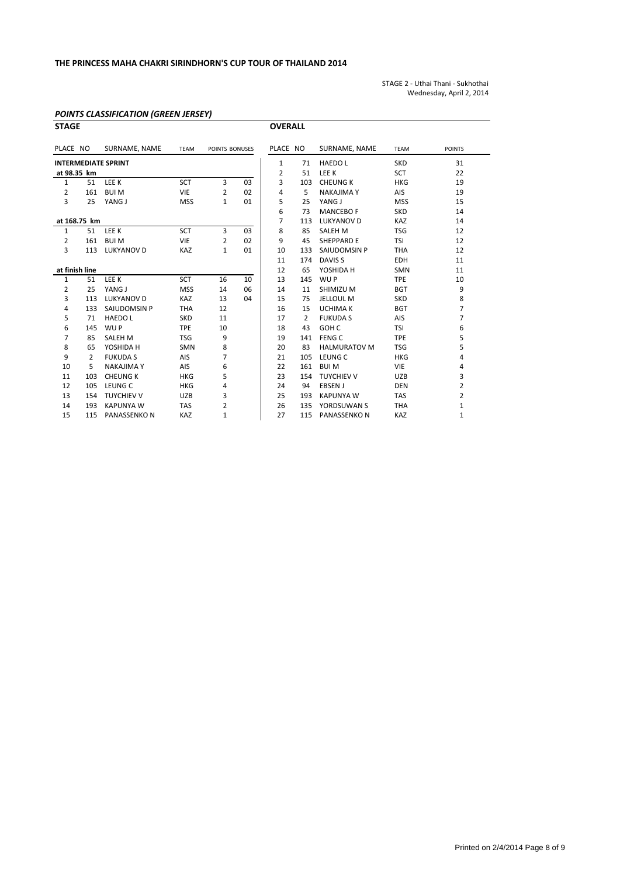STAGE 2 ‐ Uthai Thani ‐ Sukhothai Wednesday, April 2, 2014

## *POINTS CLASSIFICATION (GREEN JERSEY)*

| <b>STAGE</b>               |     |                    |             |                |                | <b>OVERALL</b> |                |                     |             |                         |
|----------------------------|-----|--------------------|-------------|----------------|----------------|----------------|----------------|---------------------|-------------|-------------------------|
| PLACE NO                   |     | SURNAME, NAME      | <b>TEAM</b> | POINTS BONUSES |                | PLACE NO       |                | SURNAME, NAME       | <b>TEAM</b> | <b>POINTS</b>           |
| <b>INTERMEDIATE SPRINT</b> |     |                    |             | 1              | 71             | <b>HAEDOL</b>  | <b>SKD</b>     | 31                  |             |                         |
| at 98.35 km                |     |                    |             |                | 2              | 51             | LEE K          | <b>SCT</b>          | 22          |                         |
| $\mathbf{1}$               | 51  | LEE K              | <b>SCT</b>  | 3              | 0 <sub>3</sub> | 3              | 103            | <b>CHEUNG K</b>     | <b>HKG</b>  | 19                      |
| $\overline{2}$             | 161 | <b>BUIM</b>        | <b>VIE</b>  | $\overline{2}$ | 02             | 4              | 5              | <b>NAKAJIMA Y</b>   | AIS         | 19                      |
| 3                          | 25  | YANG J             | <b>MSS</b>  | $\mathbf{1}$   | 01             | 5              | 25             | YANG J              | <b>MSS</b>  | 15                      |
|                            |     |                    |             |                |                | 6              | 73             | <b>MANCEBO F</b>    | <b>SKD</b>  | 14                      |
| at 168.75 km               |     |                    |             | $\overline{7}$ | 113            | LUKYANOV D     | <b>KAZ</b>     | 14                  |             |                         |
| 1                          | 51  | LEE K              | <b>SCT</b>  | 3              | 03             | 8              | 85             | <b>SALEH M</b>      | <b>TSG</b>  | 12                      |
| $\overline{2}$             | 161 | <b>BUIM</b>        | <b>VIE</b>  | $\overline{2}$ | 02             | 9              | 45             | <b>SHEPPARD E</b>   | <b>TSI</b>  | 12                      |
| 3                          | 113 | <b>LUKYANOV D</b>  | <b>KAZ</b>  | $\mathbf{1}$   | 01             | 10             | 133            | SAIUDOMSIN P        | <b>THA</b>  | 12                      |
|                            |     |                    |             |                |                | 11             | 174            | DAVIS <sub>S</sub>  | <b>EDH</b>  | 11                      |
| at finish line             |     |                    |             |                | 12             | 65             | YOSHIDA H      | <b>SMN</b>          | 11          |                         |
| $\mathbf{1}$               | 51  | LEE K              | <b>SCT</b>  | 16             | 10             | 13             | 145            | WU P                | <b>TPE</b>  | 10                      |
| $\overline{2}$             | 25  | YANG J             | <b>MSS</b>  | 14             | 06             | 14             | 11             | SHIMIZU M           | <b>BGT</b>  | 9                       |
| 3                          | 113 | <b>LUKYANOV D</b>  | <b>KAZ</b>  | 13             | 04             | 15             | 75             | <b>JELLOUL M</b>    | <b>SKD</b>  | 8                       |
| 4                          | 133 | SAIUDOMSIN P       | <b>THA</b>  | 12             |                | 16             | 15             | <b>UCHIMA K</b>     | <b>BGT</b>  | 7                       |
| 5                          | 71  | <b>HAEDOL</b>      | <b>SKD</b>  | 11             |                | 17             | $\overline{2}$ | <b>FUKUDA S</b>     | AIS         | 7                       |
| 6                          | 145 | WU P               | <b>TPE</b>  | 10             |                | 18             | 43             | GOH <sub>C</sub>    | <b>TSI</b>  | 6                       |
| $\overline{7}$             | 85  | <b>SALEH M</b>     | <b>TSG</b>  | 9              |                | 19             | 141            | FENG C              | <b>TPE</b>  | 5                       |
| 8                          | 65  | YOSHIDA H          | <b>SMN</b>  | 8              |                | 20             | 83             | <b>HALMURATOV M</b> | <b>TSG</b>  | 5                       |
| 9                          | 2   | <b>FUKUDA S</b>    | AIS         | $\overline{7}$ |                | 21             | 105            | LEUNG C             | <b>HKG</b>  | 4                       |
| 10                         | 5   | <b>NAKAJIMA Y</b>  | AIS         | 6              |                | 22             | 161            | <b>BUIM</b>         | <b>VIE</b>  | 4                       |
| 11                         | 103 | <b>CHEUNG K</b>    | <b>HKG</b>  | 5              |                | 23             | 154            | <b>TUYCHIEV V</b>   | <b>UZB</b>  | 3                       |
| 12                         | 105 | LEUNG C            | <b>HKG</b>  | 4              |                | 24             | 94             | <b>EBSEN J</b>      | <b>DEN</b>  | $\overline{2}$          |
| 13                         | 154 | <b>TUYCHIEV V</b>  | <b>UZB</b>  | 3              |                | 25             | 193            | <b>KAPUNYA W</b>    | <b>TAS</b>  | $\overline{\mathbf{c}}$ |
| 14                         | 193 | <b>KAPUNYA W</b>   | <b>TAS</b>  | $\overline{2}$ |                | 26             | 135            | YORDSUWAN S         | THA         | 1                       |
| 15                         | 115 | <b>PANASSENKON</b> | KAZ         | $\mathbf{1}$   |                | 27             | 115            | PANASSENKO N        | KAZ         | 1                       |